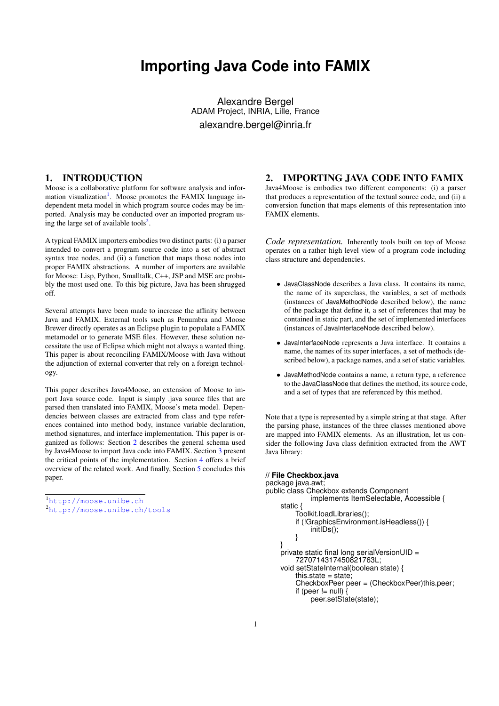# **Importing Java Code into FAMIX**

Alexandre Bergel ADAM Project, INRIA, Lille, France alexandre.bergel@inria.fr

## 1. INTRODUCTION

Moose is a collaborative platform for software analysis and infor-mation visualization<sup>[1](#page-0-0)</sup>. Moose promotes the FAMIX language independent meta model in which program source codes may be imported. Analysis may be conducted over an imported program us-ing the large set of available tools<sup>[2](#page-0-1)</sup>.

A typical FAMIX importers embodies two distinct parts: (i) a parser intended to convert a program source code into a set of abstract syntax tree nodes, and (ii) a function that maps those nodes into proper FAMIX abstractions. A number of importers are available for Moose: Lisp, Python, Smalltalk, C++, JSP and MSE are probably the most used one. To this big picture, Java has been shrugged off.

Several attempts have been made to increase the affinity between Java and FAMIX. External tools such as Penumbra and Moose Brewer directly operates as an Eclipse plugin to populate a FAMIX metamodel or to generate MSE files. However, these solution necessitate the use of Eclipse which might not always a wanted thing. This paper is about reconciling FAMIX/Moose with Java without the adjunction of external converter that rely on a foreign technology.

This paper describes Java4Moose, an extension of Moose to import Java source code. Input is simply .java source files that are parsed then translated into FAMIX, Moose's meta model. Dependencies between classes are extracted from class and type references contained into method body, instance variable declaration, method signatures, and interface implementation. This paper is organized as follows: Section [2](#page-0-2) describes the general schema used by Java4Moose to import Java code into FAMIX. Section [3](#page-1-0) present the critical points of the implementation. Section [4](#page-1-1) offers a brief overview of the related work. And finally, Section [5](#page-1-2) concludes this paper.

<span id="page-0-0"></span><sup>1</sup><http://moose.unibe.ch>

## <span id="page-0-2"></span>2. IMPORTING JAVA CODE INTO FAMIX

Java4Moose is embodies two different components: (i) a parser that produces a representation of the textual source code, and (ii) a conversion function that maps elements of this representation into FAMIX elements.

*Code representation.* Inherently tools built on top of Moose operates on a rather high level view of a program code including class structure and dependencies.

- JavaClassNode describes a Java class. It contains its name, the name of its superclass, the variables, a set of methods (instances of JavaMethodNode described below), the name of the package that define it, a set of references that may be contained in static part, and the set of implemented interfaces (instances of JavaInterfaceNode described below).
- JavaInterfaceNode represents a Java interface. It contains a name, the names of its super interfaces, a set of methods (described below), a package names, and a set of static variables.
- JavaMethodNode contains a name, a return type, a reference to the JavaClassNode that defines the method, its source code, and a set of types that are referenced by this method.

Note that a type is represented by a simple string at that stage. After the parsing phase, instances of the three classes mentioned above are mapped into FAMIX elements. As an illustration, let us consider the following Java class definition extracted from the AWT Java library:

```
// File Checkbox.java
package java.awt;
public class Checkbox extends Component
             implements ItemSelectable, Accessible {
    static {
         Toolkit.loadLibraries();
         if (!GraphicsEnvironment.isHeadless()) {
             initIDs();
         }
    }
    private static final long serialVersionUID =
         7270714317450821763L;
    void setStateInternal(boolean state) {
         this.state = state;
         CheckboxPeer peer = (CheckboxPeer)this.peer;
         if (peer != null)
             peer.setState(state);
```
<span id="page-0-1"></span><sup>2</sup><http://moose.unibe.ch/tools>